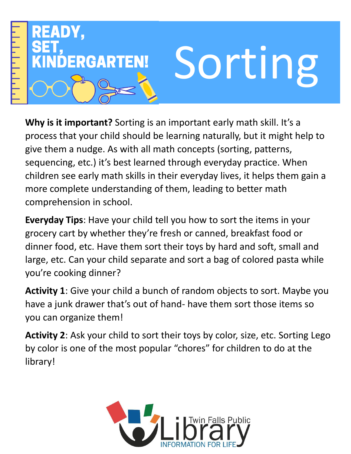

**Why is it important?** Sorting is an important early math skill. It's a process that your child should be learning naturally, but it might help to give them a nudge. As with all math concepts (sorting, patterns, sequencing, etc.) it's best learned through everyday practice. When children see early math skills in their everyday lives, it helps them gain a more complete understanding of them, leading to better math comprehension in school.

**Everyday Tips**: Have your child tell you how to sort the items in your grocery cart by whether they're fresh or canned, breakfast food or dinner food, etc. Have them sort their toys by hard and soft, small and large, etc. Can your child separate and sort a bag of colored pasta while you're cooking dinner?

**Activity 1**: Give your child a bunch of random objects to sort. Maybe you have a junk drawer that's out of hand- have them sort those items so you can organize them!

**Activity 2**: Ask your child to sort their toys by color, size, etc. Sorting Lego by color is one of the most popular "chores" for children to do at the library!